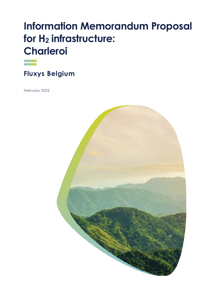# **Information Memorandum Proposal for H<sup>2</sup> infrastructure: Charleroi**



**Fluxys Belgium** 

February 2022

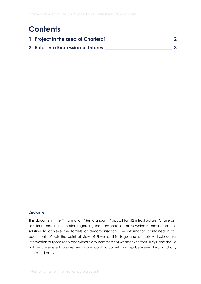### **Contents**

| 1. Project in the area of Charleroi  |  |
|--------------------------------------|--|
| 2. Enter into Expression of Interest |  |

#### Disclaimer

This document (the "Information Memorandum Proposal for H2 infrastructure: Charleroi") sets forth certain information regarding the transportation of H<sub>2</sub> which is considered as a solution to achieve the targets of decarbonisation. The information contained in this document reflects the point of view of Fluxys at this stage and is publicly disclosed for information purposes only and without any commitment whatsoever from Fluxys, and should not be considered to give rise to any contractual relationship between Fluxys and any interested party.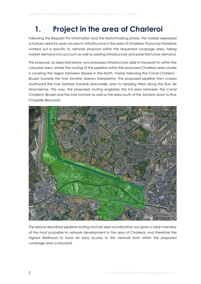# <span id="page-2-0"></span>**1. Project in the area of Charleroi**

Following the Request For Information and the Matchmaking phase, the market expressed a mature need for open access H<sup>2</sup> infrastructure in the area of Charleroi. Fluxys has therefore worked out a specific H<sub>2</sub> network proposal within the requested coverage area, taking market demand into account as well as existing infrastructure and potential future demand.

The proposal, as depicted below, encompasses infrastructure able to transport H<sub>2</sub> within the coloured area, where the routing of the pipeline within the proposed Charleroi area cluster is covering the region between Bassee in the North, mainly following the *Canal Charleroi - Brussel* towards the river *Sambre* abeam Dampremy. The proposed pipeline then crosses southward the river Sambre towards Marcinelle, prior to heading West along the *Rue de Marchienne*. This way, the proposed routing englobes the full area between the *Canal Charleroi- Brussel* and the river *Sambre* as well as the area south of the *Sambre* down to *Rue Chapelle Beaussart.*



The above described pipeline routing must be seen as indicative, but gives a clear overview of the most probable H<sub>2</sub> network development in the area of Charleroi, and therefore the highest likelihood to have an easy access to the network from within the proposed coverage area (coloured).